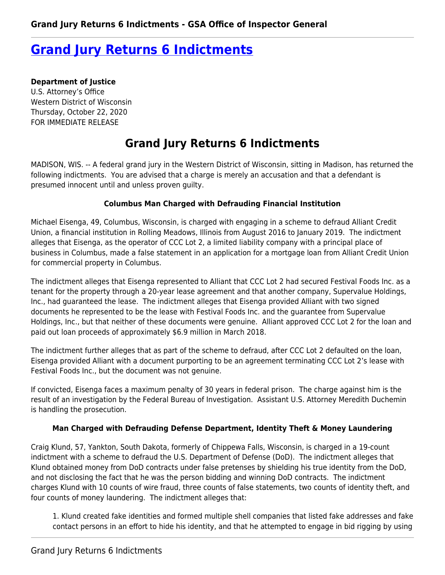# **[Grand Jury Returns 6 Indictments](https://www.gsaig.gov/news/grand-jury-returns-6-indictments)**

**Department of Justice** U.S. Attorney's Office Western District of Wisconsin Thursday, October 22, 2020 FOR IMMEDIATE RELEASE

## **Grand Jury Returns 6 Indictments**

MADISON, WIS. -- A federal grand jury in the Western District of Wisconsin, sitting in Madison, has returned the following indictments. You are advised that a charge is merely an accusation and that a defendant is presumed innocent until and unless proven guilty.

## **Columbus Man Charged with Defrauding Financial Institution**

Michael Eisenga, 49, Columbus, Wisconsin, is charged with engaging in a scheme to defraud Alliant Credit Union, a financial institution in Rolling Meadows, Illinois from August 2016 to January 2019. The indictment alleges that Eisenga, as the operator of CCC Lot 2, a limited liability company with a principal place of business in Columbus, made a false statement in an application for a mortgage loan from Alliant Credit Union for commercial property in Columbus.

The indictment alleges that Eisenga represented to Alliant that CCC Lot 2 had secured Festival Foods Inc. as a tenant for the property through a 20-year lease agreement and that another company, Supervalue Holdings, Inc., had guaranteed the lease. The indictment alleges that Eisenga provided Alliant with two signed documents he represented to be the lease with Festival Foods Inc. and the guarantee from Supervalue Holdings, Inc., but that neither of these documents were genuine. Alliant approved CCC Lot 2 for the loan and paid out loan proceeds of approximately \$6.9 million in March 2018.

The indictment further alleges that as part of the scheme to defraud, after CCC Lot 2 defaulted on the loan, Eisenga provided Alliant with a document purporting to be an agreement terminating CCC Lot 2's lease with Festival Foods Inc., but the document was not genuine.

If convicted, Eisenga faces a maximum penalty of 30 years in federal prison. The charge against him is the result of an investigation by the Federal Bureau of Investigation. Assistant U.S. Attorney Meredith Duchemin is handling the prosecution.

### **Man Charged with Defrauding Defense Department, Identity Theft & Money Laundering**

Craig Klund, 57, Yankton, South Dakota, formerly of Chippewa Falls, Wisconsin, is charged in a 19-count indictment with a scheme to defraud the U.S. Department of Defense (DoD). The indictment alleges that Klund obtained money from DoD contracts under false pretenses by shielding his true identity from the DoD, and not disclosing the fact that he was the person bidding and winning DoD contracts. The indictment charges Klund with 10 counts of wire fraud, three counts of false statements, two counts of identity theft, and four counts of money laundering. The indictment alleges that:

1. Klund created fake identities and formed multiple shell companies that listed fake addresses and fake contact persons in an effort to hide his identity, and that he attempted to engage in bid rigging by using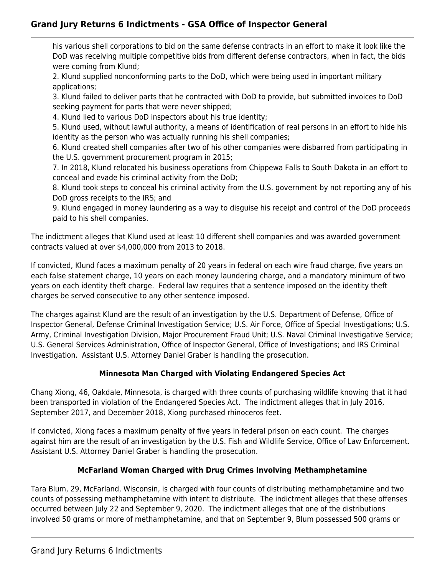## **Grand Jury Returns 6 Indictments - GSA Office of Inspector General**

his various shell corporations to bid on the same defense contracts in an effort to make it look like the DoD was receiving multiple competitive bids from different defense contractors, when in fact, the bids were coming from Klund;

2. Klund supplied nonconforming parts to the DoD, which were being used in important military applications;

3. Klund failed to deliver parts that he contracted with DoD to provide, but submitted invoices to DoD seeking payment for parts that were never shipped;

4. Klund lied to various DoD inspectors about his true identity;

5. Klund used, without lawful authority, a means of identification of real persons in an effort to hide his identity as the person who was actually running his shell companies;

6. Klund created shell companies after two of his other companies were disbarred from participating in the U.S. government procurement program in 2015;

7. In 2018, Klund relocated his business operations from Chippewa Falls to South Dakota in an effort to conceal and evade his criminal activity from the DoD;

8. Klund took steps to conceal his criminal activity from the U.S. government by not reporting any of his DoD gross receipts to the IRS; and

9. Klund engaged in money laundering as a way to disguise his receipt and control of the DoD proceeds paid to his shell companies.

The indictment alleges that Klund used at least 10 different shell companies and was awarded government contracts valued at over \$4,000,000 from 2013 to 2018.

If convicted, Klund faces a maximum penalty of 20 years in federal on each wire fraud charge, five years on each false statement charge, 10 years on each money laundering charge, and a mandatory minimum of two years on each identity theft charge. Federal law requires that a sentence imposed on the identity theft charges be served consecutive to any other sentence imposed.

The charges against Klund are the result of an investigation by the U.S. Department of Defense, Office of Inspector General, Defense Criminal Investigation Service; U.S. Air Force, Office of Special Investigations; U.S. Army, Criminal Investigation Division, Major Procurement Fraud Unit; U.S. Naval Criminal Investigative Service; U.S. General Services Administration, Office of Inspector General, Office of Investigations; and IRS Criminal Investigation. Assistant U.S. Attorney Daniel Graber is handling the prosecution.

## **Minnesota Man Charged with Violating Endangered Species Act**

Chang Xiong, 46, Oakdale, Minnesota, is charged with three counts of purchasing wildlife knowing that it had been transported in violation of the Endangered Species Act. The indictment alleges that in July 2016, September 2017, and December 2018, Xiong purchased rhinoceros feet.

If convicted, Xiong faces a maximum penalty of five years in federal prison on each count. The charges against him are the result of an investigation by the U.S. Fish and Wildlife Service, Office of Law Enforcement. Assistant U.S. Attorney Daniel Graber is handling the prosecution.

## **McFarland Woman Charged with Drug Crimes Involving Methamphetamine**

Tara Blum, 29, McFarland, Wisconsin, is charged with four counts of distributing methamphetamine and two counts of possessing methamphetamine with intent to distribute. The indictment alleges that these offenses occurred between July 22 and September 9, 2020. The indictment alleges that one of the distributions involved 50 grams or more of methamphetamine, and that on September 9, Blum possessed 500 grams or